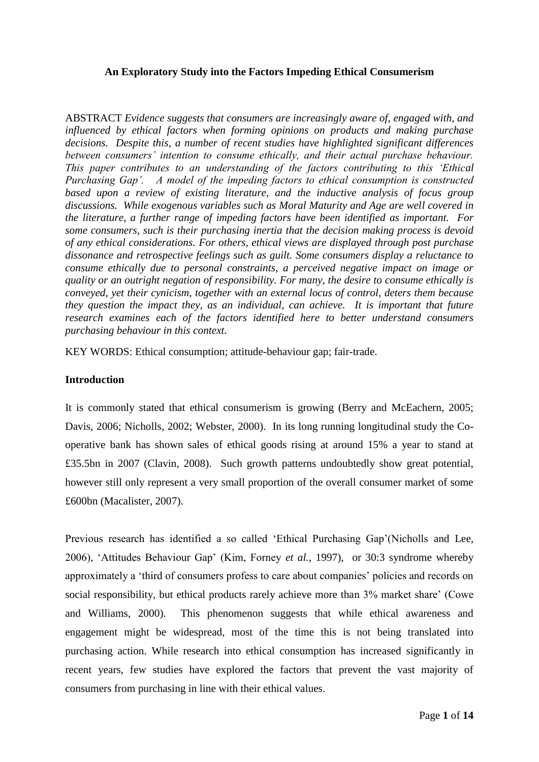# **An Exploratory Study into the Factors Impeding Ethical Consumerism**

ABSTRACT *Evidence suggests that consumers are increasingly aware of, engaged with, and influenced by ethical factors when forming opinions on products and making purchase decisions. Despite this, a number of recent studies have highlighted significant differences between consumers' intention to consume ethically, and their actual purchase behaviour. This paper contributes to an understanding of the factors contributing to this 'Ethical Purchasing Gap'. A model of the impeding factors to ethical consumption is constructed based upon a review of existing literature, and the inductive analysis of focus group discussions. While exogenous variables such as Moral Maturity and Age are well covered in the literature, a further range of impeding factors have been identified as important. For some consumers, such is their purchasing inertia that the decision making process is devoid of any ethical considerations. For others, ethical views are displayed through post purchase dissonance and retrospective feelings such as guilt. Some consumers display a reluctance to consume ethically due to personal constraints, a perceived negative impact on image or quality or an outright negation of responsibility. For many, the desire to consume ethically is conveyed, yet their cynicism, together with an external locus of control, deters them because they question the impact they, as an individual, can achieve. It is important that future research examines each of the factors identified here to better understand consumers purchasing behaviour in this context.*

KEY WORDS: Ethical consumption; attitude-behaviour gap; fair-trade.

## **Introduction**

It is commonly stated that ethical consumerism is growing (Berry and McEachern, 2005; Davis, 2006; Nicholls, 2002; Webster, 2000). In its long running longitudinal study the Cooperative bank has shown sales of ethical goods rising at around 15% a year to stand at £35.5bn in 2007 (Clavin, 2008). Such growth patterns undoubtedly show great potential, however still only represent a very small proportion of the overall consumer market of some £600bn (Macalister, 2007).

Previous research has identified a so called 'Ethical Purchasing Gap'(Nicholls and Lee, 2006), 'Attitudes Behaviour Gap' (Kim, Forney *et al.*, 1997), or 30:3 syndrome whereby approximately a 'third of consumers profess to care about companies' policies and records on social responsibility, but ethical products rarely achieve more than 3% market share' (Cowe and Williams, 2000). This phenomenon suggests that while ethical awareness and engagement might be widespread, most of the time this is not being translated into purchasing action. While research into ethical consumption has increased significantly in recent years, few studies have explored the factors that prevent the vast majority of consumers from purchasing in line with their ethical values.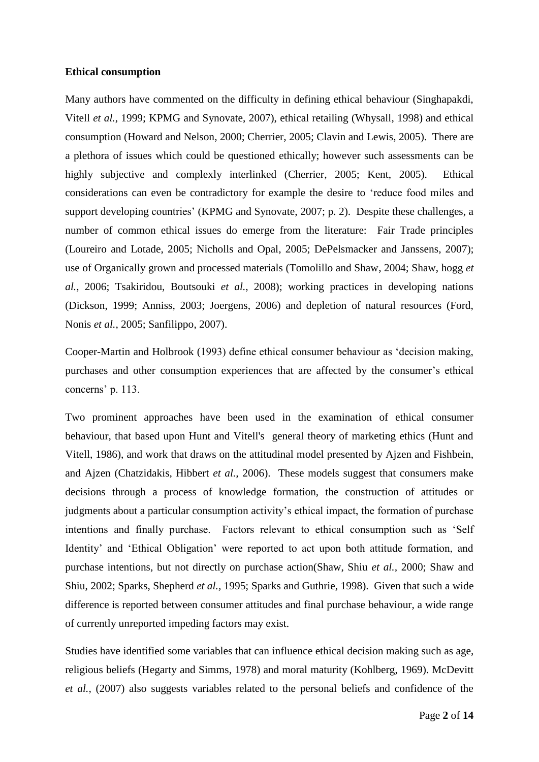### **Ethical consumption**

Many authors have commented on the difficulty in defining ethical behaviour (Singhapakdi, Vitell *et al.*, 1999; KPMG and Synovate, 2007), ethical retailing (Whysall, 1998) and ethical consumption (Howard and Nelson, 2000; Cherrier, 2005; Clavin and Lewis, 2005). There are a plethora of issues which could be questioned ethically; however such assessments can be highly subjective and complexly interlinked (Cherrier, 2005; Kent, 2005). Ethical considerations can even be contradictory for example the desire to 'reduce food miles and support developing countries' (KPMG and Synovate, 2007; p. 2). Despite these challenges, a number of common ethical issues do emerge from the literature: Fair Trade principles (Loureiro and Lotade, 2005; Nicholls and Opal, 2005; DePelsmacker and Janssens, 2007); use of Organically grown and processed materials (Tomolillo and Shaw, 2004; Shaw, hogg *et al.*, 2006; Tsakiridou, Boutsouki *et al.*, 2008); working practices in developing nations (Dickson, 1999; Anniss, 2003; Joergens, 2006) and depletion of natural resources (Ford, Nonis *et al.*, 2005; Sanfilippo, 2007).

Cooper-Martin and Holbrook (1993) define ethical consumer behaviour as 'decision making, purchases and other consumption experiences that are affected by the consumer's ethical concerns' p. 113.

Two prominent approaches have been used in the examination of ethical consumer behaviour, that based upon Hunt and Vitell's general theory of marketing ethics (Hunt and Vitell, 1986), and work that draws on the attitudinal model presented by Ajzen and Fishbein, and Ajzen (Chatzidakis, Hibbert *et al.,* 2006). These models suggest that consumers make decisions through a process of knowledge formation, the construction of attitudes or judgments about a particular consumption activity's ethical impact, the formation of purchase intentions and finally purchase. Factors relevant to ethical consumption such as 'Self Identity' and 'Ethical Obligation' were reported to act upon both attitude formation, and purchase intentions, but not directly on purchase action(Shaw, Shiu *et al.,* 2000; Shaw and Shiu, 2002; Sparks, Shepherd *et al.,* 1995; Sparks and Guthrie, 1998). Given that such a wide difference is reported between consumer attitudes and final purchase behaviour, a wide range of currently unreported impeding factors may exist.

Studies have identified some variables that can influence ethical decision making such as age, religious beliefs (Hegarty and Simms, 1978) and moral maturity (Kohlberg, 1969). McDevitt *et al.,* (2007) also suggests variables related to the personal beliefs and confidence of the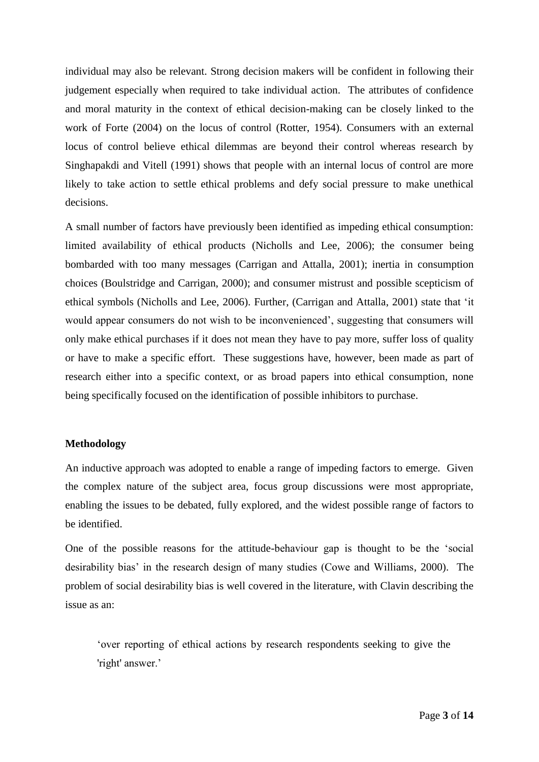individual may also be relevant. Strong decision makers will be confident in following their judgement especially when required to take individual action. The attributes of confidence and moral maturity in the context of ethical decision-making can be closely linked to the work of Forte (2004) on the locus of control (Rotter, 1954). Consumers with an external locus of control believe ethical dilemmas are beyond their control whereas research by Singhapakdi and Vitell (1991) shows that people with an internal locus of control are more likely to take action to settle ethical problems and defy social pressure to make unethical decisions.

A small number of factors have previously been identified as impeding ethical consumption: limited availability of ethical products (Nicholls and Lee, 2006); the consumer being bombarded with too many messages (Carrigan and Attalla, 2001); inertia in consumption choices (Boulstridge and Carrigan, 2000); and consumer mistrust and possible scepticism of ethical symbols (Nicholls and Lee, 2006). Further, (Carrigan and Attalla, 2001) state that 'it would appear consumers do not wish to be inconvenienced', suggesting that consumers will only make ethical purchases if it does not mean they have to pay more, suffer loss of quality or have to make a specific effort. These suggestions have, however, been made as part of research either into a specific context, or as broad papers into ethical consumption, none being specifically focused on the identification of possible inhibitors to purchase.

### **Methodology**

An inductive approach was adopted to enable a range of impeding factors to emerge. Given the complex nature of the subject area, focus group discussions were most appropriate, enabling the issues to be debated, fully explored, and the widest possible range of factors to be identified.

One of the possible reasons for the attitude-behaviour gap is thought to be the 'social desirability bias' in the research design of many studies (Cowe and Williams, 2000). The problem of social desirability bias is well covered in the literature, with Clavin describing the issue as an:

'over reporting of ethical actions by research respondents seeking to give the 'right' answer.'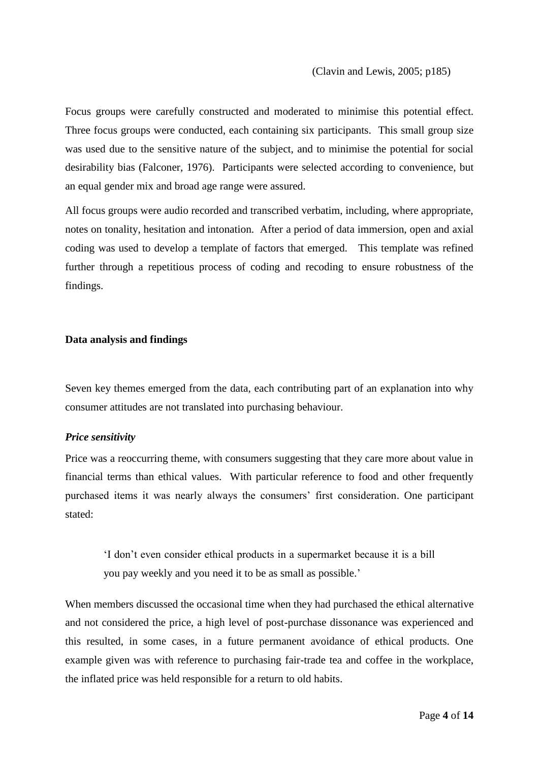Focus groups were carefully constructed and moderated to minimise this potential effect. Three focus groups were conducted, each containing six participants. This small group size was used due to the sensitive nature of the subject, and to minimise the potential for social desirability bias (Falconer, 1976). Participants were selected according to convenience, but an equal gender mix and broad age range were assured.

All focus groups were audio recorded and transcribed verbatim, including, where appropriate, notes on tonality, hesitation and intonation. After a period of data immersion, open and axial coding was used to develop a template of factors that emerged. This template was refined further through a repetitious process of coding and recoding to ensure robustness of the findings.

#### **Data analysis and findings**

Seven key themes emerged from the data, each contributing part of an explanation into why consumer attitudes are not translated into purchasing behaviour.

### *Price sensitivity*

Price was a reoccurring theme, with consumers suggesting that they care more about value in financial terms than ethical values. With particular reference to food and other frequently purchased items it was nearly always the consumers' first consideration. One participant stated:

'I don't even consider ethical products in a supermarket because it is a bill you pay weekly and you need it to be as small as possible.'

When members discussed the occasional time when they had purchased the ethical alternative and not considered the price, a high level of post-purchase dissonance was experienced and this resulted, in some cases, in a future permanent avoidance of ethical products. One example given was with reference to purchasing fair-trade tea and coffee in the workplace, the inflated price was held responsible for a return to old habits.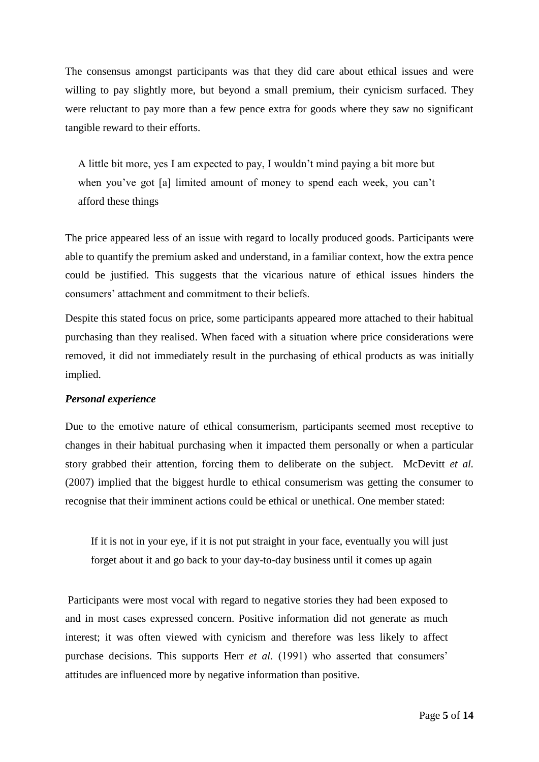The consensus amongst participants was that they did care about ethical issues and were willing to pay slightly more, but beyond a small premium, their cynicism surfaced. They were reluctant to pay more than a few pence extra for goods where they saw no significant tangible reward to their efforts.

A little bit more, yes I am expected to pay, I wouldn't mind paying a bit more but when you've got [a] limited amount of money to spend each week, you can't afford these things

The price appeared less of an issue with regard to locally produced goods. Participants were able to quantify the premium asked and understand, in a familiar context, how the extra pence could be justified. This suggests that the vicarious nature of ethical issues hinders the consumers' attachment and commitment to their beliefs.

Despite this stated focus on price, some participants appeared more attached to their habitual purchasing than they realised. When faced with a situation where price considerations were removed, it did not immediately result in the purchasing of ethical products as was initially implied.

### *Personal experience*

Due to the emotive nature of ethical consumerism, participants seemed most receptive to changes in their habitual purchasing when it impacted them personally or when a particular story grabbed their attention, forcing them to deliberate on the subject. McDevitt *et al.* (2007) implied that the biggest hurdle to ethical consumerism was getting the consumer to recognise that their imminent actions could be ethical or unethical. One member stated:

If it is not in your eye, if it is not put straight in your face, eventually you will just forget about it and go back to your day-to-day business until it comes up again

Participants were most vocal with regard to negative stories they had been exposed to and in most cases expressed concern. Positive information did not generate as much interest; it was often viewed with cynicism and therefore was less likely to affect purchase decisions. This supports Herr *et al.* (1991) who asserted that consumers' attitudes are influenced more by negative information than positive.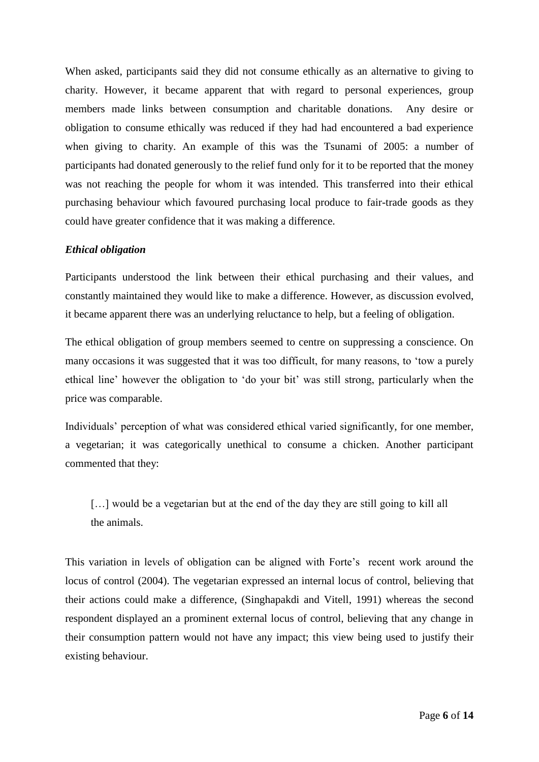When asked, participants said they did not consume ethically as an alternative to giving to charity. However, it became apparent that with regard to personal experiences, group members made links between consumption and charitable donations. Any desire or obligation to consume ethically was reduced if they had had encountered a bad experience when giving to charity. An example of this was the Tsunami of 2005: a number of participants had donated generously to the relief fund only for it to be reported that the money was not reaching the people for whom it was intended. This transferred into their ethical purchasing behaviour which favoured purchasing local produce to fair-trade goods as they could have greater confidence that it was making a difference.

## *Ethical obligation*

Participants understood the link between their ethical purchasing and their values, and constantly maintained they would like to make a difference. However, as discussion evolved, it became apparent there was an underlying reluctance to help, but a feeling of obligation.

The ethical obligation of group members seemed to centre on suppressing a conscience. On many occasions it was suggested that it was too difficult, for many reasons, to 'tow a purely ethical line' however the obligation to 'do your bit' was still strong, particularly when the price was comparable.

Individuals' perception of what was considered ethical varied significantly, for one member, a vegetarian; it was categorically unethical to consume a chicken. Another participant commented that they:

[...] would be a vegetarian but at the end of the day they are still going to kill all the animals.

This variation in levels of obligation can be aligned with Forte's recent work around the locus of control (2004). The vegetarian expressed an internal locus of control, believing that their actions could make a difference, (Singhapakdi and Vitell, 1991) whereas the second respondent displayed an a prominent external locus of control, believing that any change in their consumption pattern would not have any impact; this view being used to justify their existing behaviour.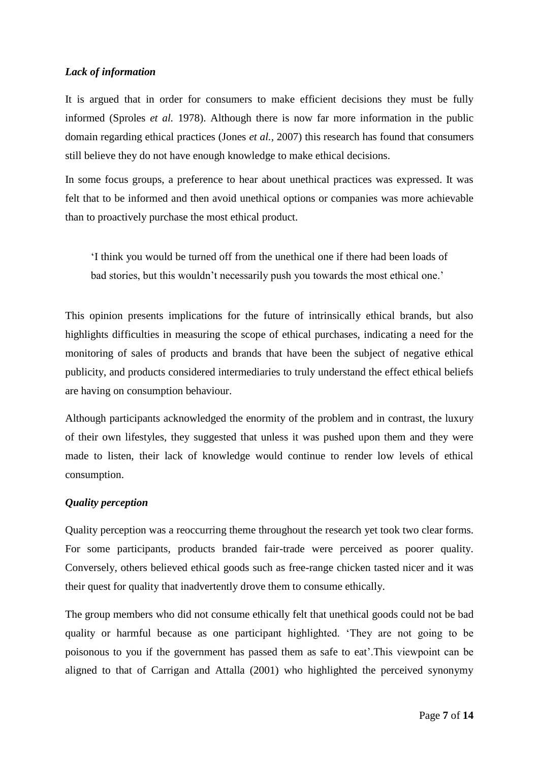# *Lack of information*

It is argued that in order for consumers to make efficient decisions they must be fully informed (Sproles *et al.* 1978). Although there is now far more information in the public domain regarding ethical practices (Jones *et al.,* 2007) this research has found that consumers still believe they do not have enough knowledge to make ethical decisions.

In some focus groups, a preference to hear about unethical practices was expressed. It was felt that to be informed and then avoid unethical options or companies was more achievable than to proactively purchase the most ethical product.

'I think you would be turned off from the unethical one if there had been loads of bad stories, but this wouldn't necessarily push you towards the most ethical one.'

This opinion presents implications for the future of intrinsically ethical brands, but also highlights difficulties in measuring the scope of ethical purchases, indicating a need for the monitoring of sales of products and brands that have been the subject of negative ethical publicity, and products considered intermediaries to truly understand the effect ethical beliefs are having on consumption behaviour.

Although participants acknowledged the enormity of the problem and in contrast, the luxury of their own lifestyles, they suggested that unless it was pushed upon them and they were made to listen, their lack of knowledge would continue to render low levels of ethical consumption.

# *Quality perception*

Quality perception was a reoccurring theme throughout the research yet took two clear forms. For some participants, products branded fair-trade were perceived as poorer quality. Conversely, others believed ethical goods such as free-range chicken tasted nicer and it was their quest for quality that inadvertently drove them to consume ethically.

The group members who did not consume ethically felt that unethical goods could not be bad quality or harmful because as one participant highlighted. 'They are not going to be poisonous to you if the government has passed them as safe to eat'.This viewpoint can be aligned to that of Carrigan and Attalla (2001) who highlighted the perceived synonymy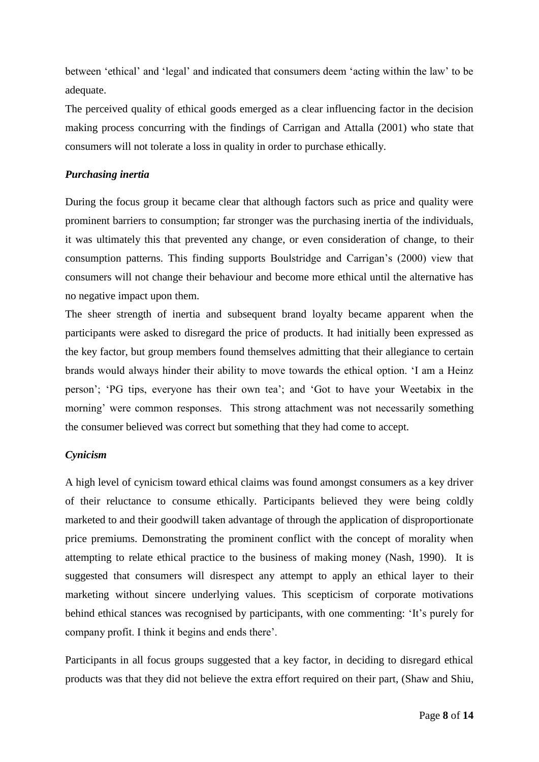between 'ethical' and 'legal' and indicated that consumers deem 'acting within the law' to be adequate.

The perceived quality of ethical goods emerged as a clear influencing factor in the decision making process concurring with the findings of Carrigan and Attalla (2001) who state that consumers will not tolerate a loss in quality in order to purchase ethically.

# *Purchasing inertia*

During the focus group it became clear that although factors such as price and quality were prominent barriers to consumption; far stronger was the purchasing inertia of the individuals, it was ultimately this that prevented any change, or even consideration of change, to their consumption patterns. This finding supports Boulstridge and Carrigan's (2000) view that consumers will not change their behaviour and become more ethical until the alternative has no negative impact upon them.

The sheer strength of inertia and subsequent brand loyalty became apparent when the participants were asked to disregard the price of products. It had initially been expressed as the key factor, but group members found themselves admitting that their allegiance to certain brands would always hinder their ability to move towards the ethical option. 'I am a Heinz person'; 'PG tips, everyone has their own tea'; and 'Got to have your Weetabix in the morning' were common responses. This strong attachment was not necessarily something the consumer believed was correct but something that they had come to accept.

# *Cynicism*

A high level of cynicism toward ethical claims was found amongst consumers as a key driver of their reluctance to consume ethically. Participants believed they were being coldly marketed to and their goodwill taken advantage of through the application of disproportionate price premiums. Demonstrating the prominent conflict with the concept of morality when attempting to relate ethical practice to the business of making money (Nash, 1990). It is suggested that consumers will disrespect any attempt to apply an ethical layer to their marketing without sincere underlying values. This scepticism of corporate motivations behind ethical stances was recognised by participants, with one commenting: 'It's purely for company profit. I think it begins and ends there'.

Participants in all focus groups suggested that a key factor, in deciding to disregard ethical products was that they did not believe the extra effort required on their part, (Shaw and Shiu,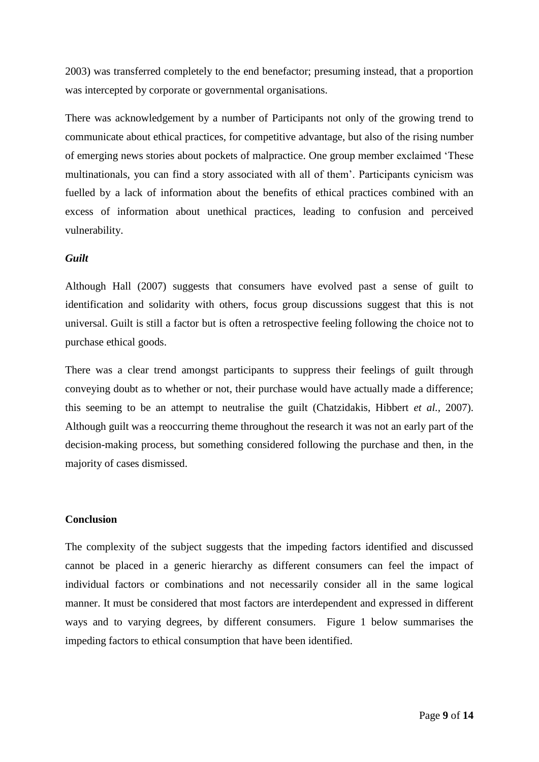2003) was transferred completely to the end benefactor; presuming instead, that a proportion was intercepted by corporate or governmental organisations.

There was acknowledgement by a number of Participants not only of the growing trend to communicate about ethical practices, for competitive advantage, but also of the rising number of emerging news stories about pockets of malpractice. One group member exclaimed 'These multinationals, you can find a story associated with all of them'. Participants cynicism was fuelled by a lack of information about the benefits of ethical practices combined with an excess of information about unethical practices, leading to confusion and perceived vulnerability.

### *Guilt*

Although Hall (2007) suggests that consumers have evolved past a sense of guilt to identification and solidarity with others, focus group discussions suggest that this is not universal. Guilt is still a factor but is often a retrospective feeling following the choice not to purchase ethical goods.

There was a clear trend amongst participants to suppress their feelings of guilt through conveying doubt as to whether or not, their purchase would have actually made a difference; this seeming to be an attempt to neutralise the guilt (Chatzidakis, Hibbert *et al.,* 2007). Although guilt was a reoccurring theme throughout the research it was not an early part of the decision-making process, but something considered following the purchase and then, in the majority of cases dismissed.

## **Conclusion**

The complexity of the subject suggests that the impeding factors identified and discussed cannot be placed in a generic hierarchy as different consumers can feel the impact of individual factors or combinations and not necessarily consider all in the same logical manner. It must be considered that most factors are interdependent and expressed in different ways and to varying degrees, by different consumers. Figure 1 below summarises the impeding factors to ethical consumption that have been identified.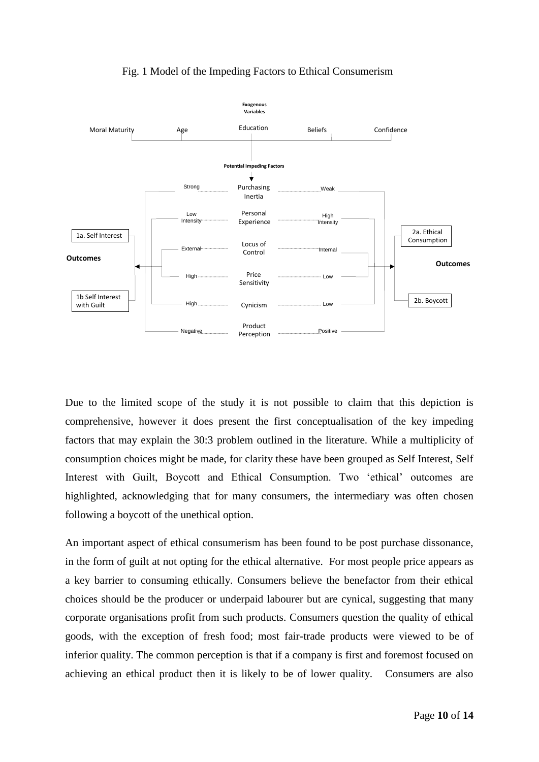

# Fig. 1 Model of the Impeding Factors to Ethical Consumerism

Due to the limited scope of the study it is not possible to claim that this depiction is comprehensive, however it does present the first conceptualisation of the key impeding factors that may explain the 30:3 problem outlined in the literature. While a multiplicity of consumption choices might be made, for clarity these have been grouped as Self Interest, Self Interest with Guilt, Boycott and Ethical Consumption. Two 'ethical' outcomes are highlighted, acknowledging that for many consumers, the intermediary was often chosen following a boycott of the unethical option.

An important aspect of ethical consumerism has been found to be post purchase dissonance, in the form of guilt at not opting for the ethical alternative. For most people price appears as a key barrier to consuming ethically. Consumers believe the benefactor from their ethical choices should be the producer or underpaid labourer but are cynical, suggesting that many corporate organisations profit from such products. Consumers question the quality of ethical goods, with the exception of fresh food; most fair-trade products were viewed to be of inferior quality. The common perception is that if a company is first and foremost focused on achieving an ethical product then it is likely to be of lower quality. Consumers are also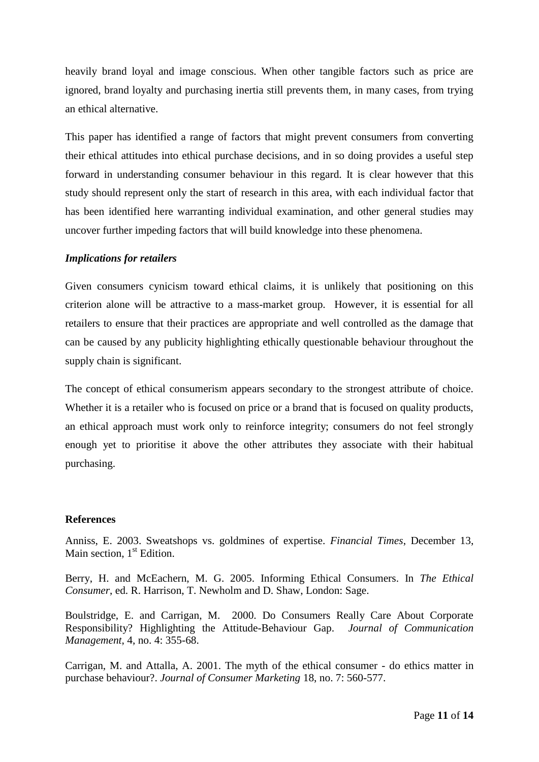heavily brand loyal and image conscious. When other tangible factors such as price are ignored, brand loyalty and purchasing inertia still prevents them, in many cases, from trying an ethical alternative.

This paper has identified a range of factors that might prevent consumers from converting their ethical attitudes into ethical purchase decisions, and in so doing provides a useful step forward in understanding consumer behaviour in this regard. It is clear however that this study should represent only the start of research in this area, with each individual factor that has been identified here warranting individual examination, and other general studies may uncover further impeding factors that will build knowledge into these phenomena.

## *Implications for retailers*

Given consumers cynicism toward ethical claims, it is unlikely that positioning on this criterion alone will be attractive to a mass-market group. However, it is essential for all retailers to ensure that their practices are appropriate and well controlled as the damage that can be caused by any publicity highlighting ethically questionable behaviour throughout the supply chain is significant.

The concept of ethical consumerism appears secondary to the strongest attribute of choice. Whether it is a retailer who is focused on price or a brand that is focused on quality products, an ethical approach must work only to reinforce integrity; consumers do not feel strongly enough yet to prioritise it above the other attributes they associate with their habitual purchasing.

### **References**

Anniss, E. 2003. Sweatshops vs. goldmines of expertise. *Financial Times*, December 13, Main section,  $1<sup>st</sup>$  Edition.

Berry, H. and McEachern, M. G. 2005. Informing Ethical Consumers. In *The Ethical Consumer*, ed. R. Harrison, T. Newholm and D. Shaw, London: Sage.

Boulstridge, E. and Carrigan, M. 2000. Do Consumers Really Care About Corporate Responsibility? Highlighting the Attitude-Behaviour Gap. *Journal of Communication Management*, 4, no. 4: 355-68.

Carrigan, M. and Attalla, A. 2001. The myth of the ethical consumer - do ethics matter in purchase behaviour?. *Journal of Consumer Marketing* 18, no. 7: 560-577.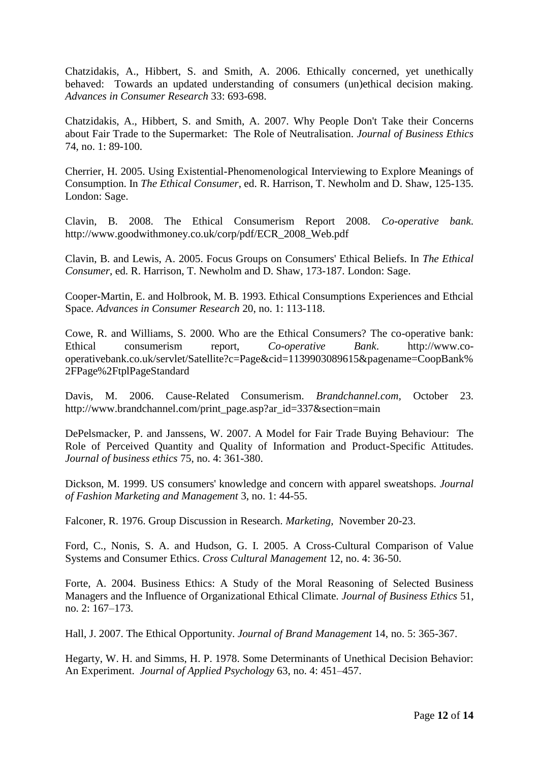Chatzidakis, A., Hibbert, S. and Smith, A. 2006. Ethically concerned, yet unethically behaved: Towards an updated understanding of consumers (un)ethical decision making. *Advances in Consumer Research* 33: 693-698.

Chatzidakis, A., Hibbert, S. and Smith, A. 2007. Why People Don't Take their Concerns about Fair Trade to the Supermarket: The Role of Neutralisation. *Journal of Business Ethics* 74, no. 1: 89-100.

Cherrier, H. 2005. Using Existential-Phenomenological Interviewing to Explore Meanings of Consumption. In *The Ethical Consumer*, ed. R. Harrison, T. Newholm and D. Shaw, 125-135. London: Sage.

Clavin, B. 2008. The Ethical Consumerism Report 2008. *Co-operative bank*. http://www.goodwithmoney.co.uk/corp/pdf/ECR\_2008\_Web.pdf

Clavin, B. and Lewis, A. 2005. Focus Groups on Consumers' Ethical Beliefs. In *The Ethical Consumer*, ed. R. Harrison, T. Newholm and D. Shaw, 173-187. London: Sage.

Cooper-Martin, E. and Holbrook, M. B. 1993. Ethical Consumptions Experiences and Ethcial Space. *Advances in Consumer Research* 20, no. 1: 113-118.

Cowe, R. and Williams, S. 2000. Who are the Ethical Consumers? The co-operative bank: Ethical consumerism report, *Co-operative Bank*. http://www.cooperativebank.co.uk/servlet/Satellite?c=Page&cid=1139903089615&pagename=CoopBank% 2FPage%2FtplPageStandard

Davis, M. 2006. Cause-Related Consumerism. *Brandchannel.com,* October 23. http://www.brandchannel.com/print\_page.asp?ar\_id=337&section=main

DePelsmacker, P. and Janssens, W. 2007. A Model for Fair Trade Buying Behaviour: The Role of Perceived Quantity and Quality of Information and Product-Specific Attitudes. *Journal of business ethics* 75, no. 4: 361-380.

Dickson, M. 1999. US consumers' knowledge and concern with apparel sweatshops. *Journal of Fashion Marketing and Management* 3, no. 1: 44-55.

Falconer, R. 1976. Group Discussion in Research. *Marketing,* November 20-23.

Ford, C., Nonis, S. A. and Hudson, G. I. 2005. A Cross-Cultural Comparison of Value Systems and Consumer Ethics. *Cross Cultural Management* 12, no. 4: 36-50.

Forte, A. 2004. Business Ethics: A Study of the Moral Reasoning of Selected Business Managers and the Influence of Organizational Ethical Climate. *Journal of Business Ethics* 51, no. 2: 167–173.

Hall, J. 2007. The Ethical Opportunity. *Journal of Brand Management* 14, no. 5: 365-367.

Hegarty, W. H. and Simms, H. P. 1978. Some Determinants of Unethical Decision Behavior: An Experiment. *Journal of Applied Psychology* 63, no. 4: 451–457.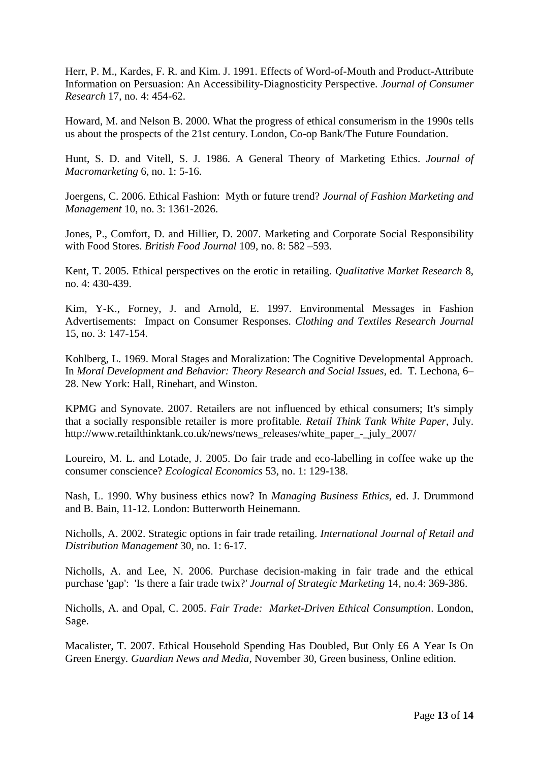Herr, P. M., Kardes, F. R. and Kim. J. 1991. Effects of Word-of-Mouth and Product-Attribute Information on Persuasion: An Accessibility-Diagnosticity Perspective. *Journal of Consumer Research* 17, no. 4: 454-62.

Howard, M. and Nelson B. 2000. What the progress of ethical consumerism in the 1990s tells us about the prospects of the 21st century. London, Co-op Bank/The Future Foundation.

Hunt, S. D. and Vitell, S. J. 1986. A General Theory of Marketing Ethics. *Journal of Macromarketing* 6, no. 1: 5-16.

Joergens, C. 2006. Ethical Fashion: Myth or future trend? *Journal of Fashion Marketing and Management* 10, no. 3: 1361-2026.

Jones, P., Comfort, D. and Hillier, D. 2007. Marketing and Corporate Social Responsibility with Food Stores. *British Food Journal* 109, no. 8: 582 –593.

Kent, T. 2005. Ethical perspectives on the erotic in retailing. *Qualitative Market Research* 8, no. 4: 430-439.

Kim, Y-K., Forney, J. and Arnold, E. 1997. Environmental Messages in Fashion Advertisements: Impact on Consumer Responses. *Clothing and Textiles Research Journal* 15, no. 3: 147-154.

Kohlberg, L. 1969. Moral Stages and Moralization: The Cognitive Developmental Approach. In *Moral Development and Behavior: Theory Research and Social Issues*, ed. T*.* Lechona, 6– 28. New York: Hall, Rinehart, and Winston.

KPMG and Synovate. 2007. Retailers are not influenced by ethical consumers; It's simply that a socially responsible retailer is more profitable. *Retail Think Tank White Paper*, July. http://www.retailthinktank.co.uk/news/news\_releases/white\_paper\_-\_july\_2007/

Loureiro, M. L. and Lotade, J. 2005. Do fair trade and eco-labelling in coffee wake up the consumer conscience? *Ecological Economics* 53, no. 1: 129-138.

Nash, L. 1990. Why business ethics now? In *Managing Business Ethics*, ed. J. Drummond and B. Bain, 11-12. London: Butterworth Heinemann.

Nicholls, A. 2002. Strategic options in fair trade retailing. *International Journal of Retail and Distribution Management* 30, no. 1: 6-17.

Nicholls, A. and Lee, N. 2006. Purchase decision-making in fair trade and the ethical purchase 'gap': 'Is there a fair trade twix?' *Journal of Strategic Marketing* 14, no.4: 369-386.

Nicholls, A. and Opal, C. 2005. *Fair Trade: Market-Driven Ethical Consumption*. London, Sage.

Macalister, T. 2007. Ethical Household Spending Has Doubled, But Only £6 A Year Is On Green Energy*. Guardian News and Media*, November 30, Green business, Online edition.